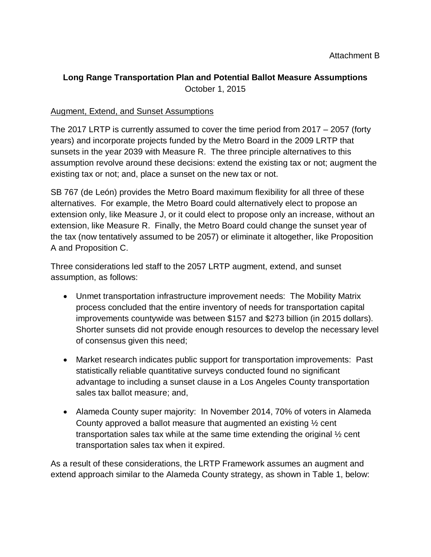### **Long Range Transportation Plan and Potential Ballot Measure Assumptions** October 1, 2015

#### Augment, Extend, and Sunset Assumptions

The 2017 LRTP is currently assumed to cover the time period from 2017 – 2057 (forty years) and incorporate projects funded by the Metro Board in the 2009 LRTP that sunsets in the year 2039 with Measure R. The three principle alternatives to this assumption revolve around these decisions: extend the existing tax or not; augment the existing tax or not; and, place a sunset on the new tax or not.

SB 767 (de León) provides the Metro Board maximum flexibility for all three of these alternatives. For example, the Metro Board could alternatively elect to propose an extension only, like Measure J, or it could elect to propose only an increase, without an extension, like Measure R. Finally, the Metro Board could change the sunset year of the tax (now tentatively assumed to be 2057) or eliminate it altogether, like Proposition A and Proposition C.

Three considerations led staff to the 2057 LRTP augment, extend, and sunset assumption, as follows:

- Unmet transportation infrastructure improvement needs: The Mobility Matrix process concluded that the entire inventory of needs for transportation capital improvements countywide was between \$157 and \$273 billion (in 2015 dollars). Shorter sunsets did not provide enough resources to develop the necessary level of consensus given this need;
- Market research indicates public support for transportation improvements: Past statistically reliable quantitative surveys conducted found no significant advantage to including a sunset clause in a Los Angeles County transportation sales tax ballot measure; and,
- Alameda County super majority: In November 2014, 70% of voters in Alameda County approved a ballot measure that augmented an existing ½ cent transportation sales tax while at the same time extending the original ½ cent transportation sales tax when it expired.

As a result of these considerations, the LRTP Framework assumes an augment and extend approach similar to the Alameda County strategy, as shown in Table 1, below: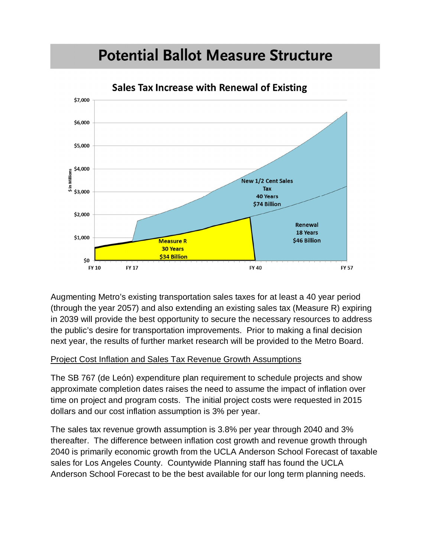## **Potential Ballot Measure Structure**



**Sales Tax Increase with Renewal of Existing** 

Augmenting Metro's existing transportation sales taxes for at least a 40 year period (through the year 2057) and also extending an existing sales tax (Measure R) expiring in 2039 will provide the best opportunity to secure the necessary resources to address the public's desire for transportation improvements. Prior to making a final decision next year, the results of further market research will be provided to the Metro Board.

#### Project Cost Inflation and Sales Tax Revenue Growth Assumptions

The SB 767 (de León) expenditure plan requirement to schedule projects and show approximate completion dates raises the need to assume the impact of inflation over time on project and program costs. The initial project costs were requested in 2015 dollars and our cost inflation assumption is 3% per year.

The sales tax revenue growth assumption is 3.8% per year through 2040 and 3% thereafter. The difference between inflation cost growth and revenue growth through 2040 is primarily economic growth from the UCLA Anderson School Forecast of taxable sales for Los Angeles County. Countywide Planning staff has found the UCLA Anderson School Forecast to be the best available for our long term planning needs.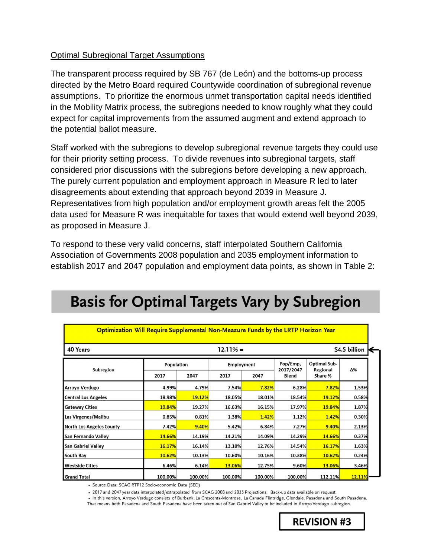#### Optimal Subregional Target Assumptions

The transparent process required by SB 767 (de León) and the bottoms-up process directed by the Metro Board required Countywide coordination of subregional revenue assumptions. To prioritize the enormous unmet transportation capital needs identified in the Mobility Matrix process, the subregions needed to know roughly what they could expect for capital improvements from the assumed augment and extend approach to the potential ballot measure.

Staff worked with the subregions to develop subregional revenue targets they could use for their priority setting process. To divide revenues into subregional targets, staff considered prior discussions with the subregions before developing a new approach. The purely current population and employment approach in Measure R led to later disagreements about extending that approach beyond 2039 in Measure J. Representatives from high population and/or employment growth areas felt the 2005 data used for Measure R was inequitable for taxes that would extend well beyond 2039, as proposed in Measure J.

To respond to these very valid concerns, staff interpolated Southern California Association of Governments 2008 population and 2035 employment information to establish 2017 and 2047 population and employment data points, as shown in Table 2:

| 40 Years                        |            | $12.11% =$ |            |         |                       |                                 |        |  |  |  |
|---------------------------------|------------|------------|------------|---------|-----------------------|---------------------------------|--------|--|--|--|
| Subregion                       | Population |            | Employment |         | Pop/Emp,<br>2017/2047 | <b>Optimal Sub-</b><br>Regional | Δ%     |  |  |  |
|                                 | 2017       | 2047       | 2017       | 2047    | <b>Blend</b>          | Share %                         |        |  |  |  |
| Arroyo Verdugo                  | 4.99%      | 4.79%      | 7.54%      | 7.82%   | 6.28%                 | 7.82%                           | 1.53%  |  |  |  |
| <b>Central Los Angeles</b>      | 18.98%     | 19.12%     | 18.05%     | 18.01%  | 18.54%                | 19.12%                          | 0.58%  |  |  |  |
| <b>Gateway Cities</b>           | 19.84%     | 19.27%     | 16.63%     | 16.15%  | 17.97%                | 19.84%                          | 1.87%  |  |  |  |
| Las Virgenes/Malibu             | 0.85%      | 0.81%      | 1.38%      | 1.42%   | 1.12%                 | 1.42%                           | 0.30%  |  |  |  |
| <b>North Los Angeles County</b> | 7.42%      | 9.40%      | 5.42%      | 6.84%   | 7.27%                 | 9.40%                           | 2.13%  |  |  |  |
| San Fernando Valley             | 14.66%     | 14.19%     | 14.21%     | 14.09%  | 14.29%                | 14.66%                          | 0.37%  |  |  |  |
| <b>San Gabriel Valley</b>       | 16.17%     | 16.14%     | 13.10%     | 12.76%  | 14.54%                | 16.17%                          | 1.63%  |  |  |  |
| South Bay                       | 10.62%     | 10.13%     | 10.60%     | 10.16%  | 10.38%                | 10.62%                          | 0.24%  |  |  |  |
| <b>Westside Cities</b>          | 6.46%      | 6.14%      | 13.06%     | 12.75%  | 9.60%                 | 13.06%                          | 3.46%  |  |  |  |
| <b>Grand Total</b>              | 100.00%    | 100.00%    | 100.00%    | 100.00% | 100.00%               | 112.11%                         | 12.11% |  |  |  |

# **Basis for Optimal Targets Vary by Subregion**

· Source Data: SCAG RTP12 Socio-economic Data (SED)

. 2017 and 2047 year data interpolated/extrapolated from SCAG 2008 and 2035 Projections. Back-up data available on request. . In this version, Arroyo Verdugo consists of Burbank, La Crescenta-Montrose, La Canada Flintridge, Glendale, Pasadena and South Pasadena.

That means both Pasadena and South Pasadena have been taken out of San Gabriel Valley to be included in Arroyo Verdugo subregion.

**REVISION #3**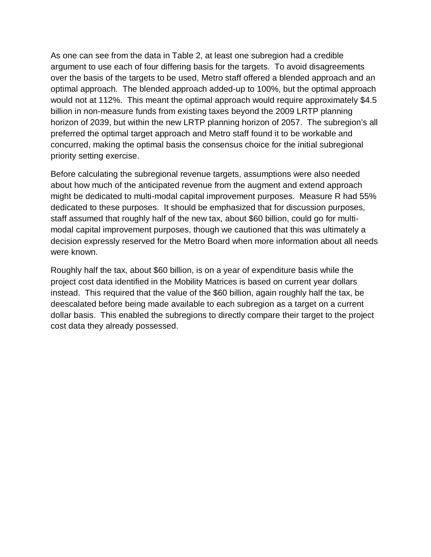As one can see from the data in Table 2, at least one subregion had a credible argument to use each of four differing basis for the targets. To avoid disagreements over the basis of the targets to be used, Metro staff offered a blended approach and an optimal approach. The blended approach added-up to 100%, but the optimal approach would not at 112%. This meant the optimal approach would require approximately \$4.5 billion in non-measure funds from existing taxes beyond the 2009 LRTP planning horizon of 2039, but within the new LRTP planning horizon of 2057. The subregion's all preferred the optimal target approach and Metro staff found it to be workable and concurred, making the optimal basis the consensus choice for the initial subregional priority setting exercise.

Before calculating the subregional revenue targets, assumptions were also needed about how much of the anticipated revenue from the augment and extend approach might be dedicated to multi-modal capital improvement purposes. Measure R had 55% dedicated to these purposes. It should be emphasized that for discussion purposes, staff assumed that roughly half of the new tax, about \$60 billion, could go for multimodal capital improvement purposes, though we cautioned that this was ultimately a decision expressly reserved for the Metro Board when more information about all needs were known.

Roughly half the tax, about \$60 billion, is on a year of expenditure basis while the project cost data identified in the Mobility Matrices is based on current year dollars instead. This required that the value of the \$60 billion, again roughly half the tax, be deescalated before being made available to each subregion as a target on a current dollar basis. This enabled the subregions to directly compare their target to the project cost data they already possessed.